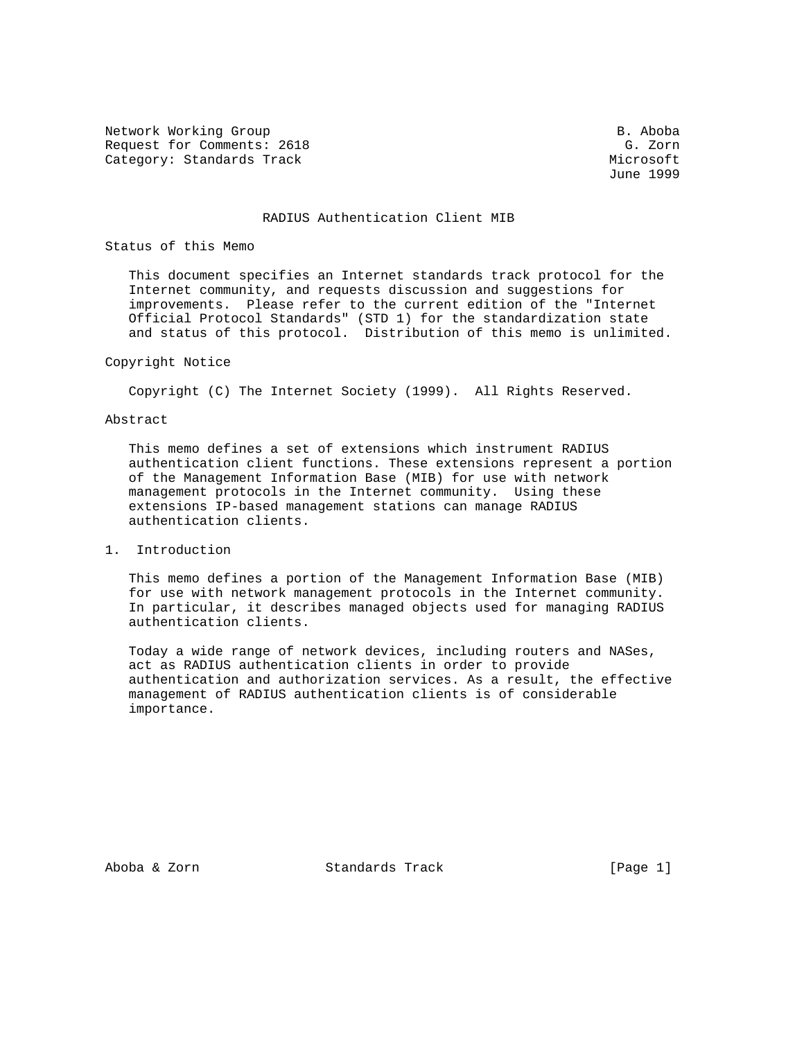Network Working Group and the set of the set of the set of the set of the set of the set of the set of the set o Request for Comments: 2618 G. Zorn Category: Standards Track Microsoft Microsoft Microsoft Microsoft Microsoft Microsoft Microsoft Microsoft Microsoft Microsoft Microsoft Microsoft Microsoft Microsoft Microsoft Microsoft Microsoft Microsoft Microsoft Micros

June 1999

## RADIUS Authentication Client MIB

### Status of this Memo

 This document specifies an Internet standards track protocol for the Internet community, and requests discussion and suggestions for improvements. Please refer to the current edition of the "Internet Official Protocol Standards" (STD 1) for the standardization state and status of this protocol. Distribution of this memo is unlimited.

# Copyright Notice

Copyright (C) The Internet Society (1999). All Rights Reserved.

## Abstract

 This memo defines a set of extensions which instrument RADIUS authentication client functions. These extensions represent a portion of the Management Information Base (MIB) for use with network management protocols in the Internet community. Using these extensions IP-based management stations can manage RADIUS authentication clients.

1. Introduction

 This memo defines a portion of the Management Information Base (MIB) for use with network management protocols in the Internet community. In particular, it describes managed objects used for managing RADIUS authentication clients.

 Today a wide range of network devices, including routers and NASes, act as RADIUS authentication clients in order to provide authentication and authorization services. As a result, the effective management of RADIUS authentication clients is of considerable importance.

Aboba & Zorn Standards Track (Page 1)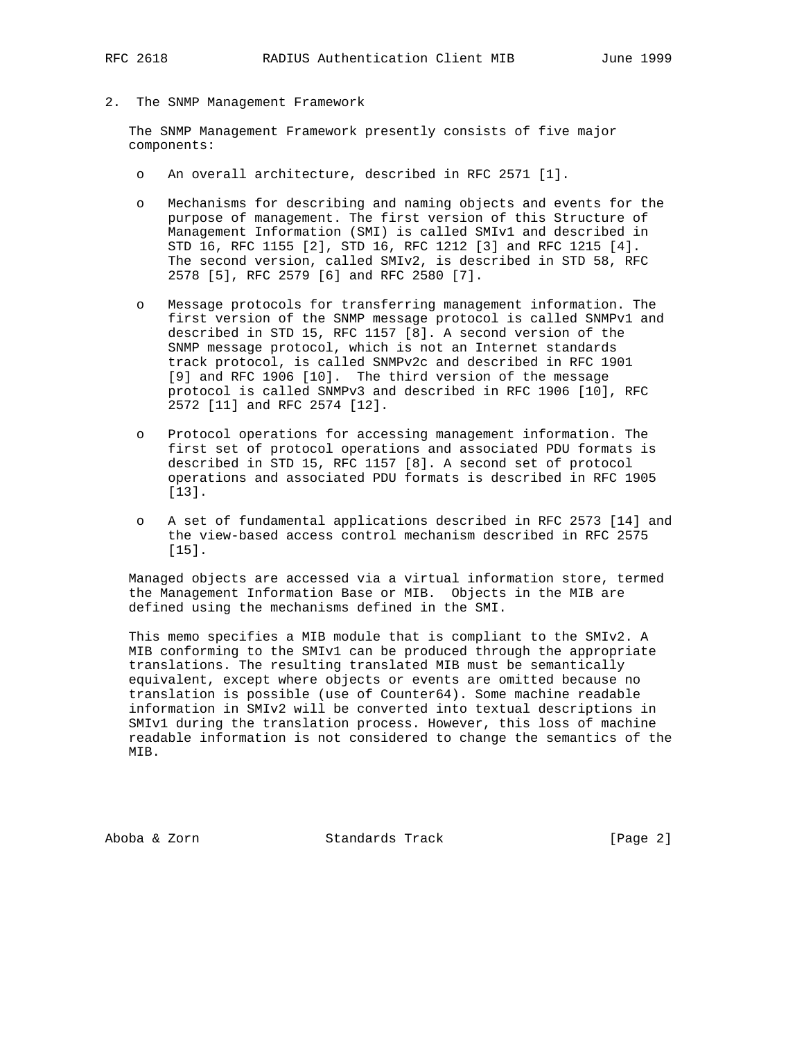2. The SNMP Management Framework

 The SNMP Management Framework presently consists of five major components:

- o An overall architecture, described in RFC 2571 [1].
- o Mechanisms for describing and naming objects and events for the purpose of management. The first version of this Structure of Management Information (SMI) is called SMIv1 and described in STD 16, RFC 1155 [2], STD 16, RFC 1212 [3] and RFC 1215 [4]. The second version, called SMIv2, is described in STD 58, RFC 2578 [5], RFC 2579 [6] and RFC 2580 [7].
- o Message protocols for transferring management information. The first version of the SNMP message protocol is called SNMPv1 and described in STD 15, RFC 1157 [8]. A second version of the SNMP message protocol, which is not an Internet standards track protocol, is called SNMPv2c and described in RFC 1901 [9] and RFC 1906 [10]. The third version of the message protocol is called SNMPv3 and described in RFC 1906 [10], RFC 2572 [11] and RFC 2574 [12].
- o Protocol operations for accessing management information. The first set of protocol operations and associated PDU formats is described in STD 15, RFC 1157 [8]. A second set of protocol operations and associated PDU formats is described in RFC 1905 [13].
- o A set of fundamental applications described in RFC 2573 [14] and the view-based access control mechanism described in RFC 2575 [15].

 Managed objects are accessed via a virtual information store, termed the Management Information Base or MIB. Objects in the MIB are defined using the mechanisms defined in the SMI.

 This memo specifies a MIB module that is compliant to the SMIv2. A MIB conforming to the SMIv1 can be produced through the appropriate translations. The resulting translated MIB must be semantically equivalent, except where objects or events are omitted because no translation is possible (use of Counter64). Some machine readable information in SMIv2 will be converted into textual descriptions in SMIv1 during the translation process. However, this loss of machine readable information is not considered to change the semantics of the MIB.

Aboba & Zorn Standards Track [Page 2]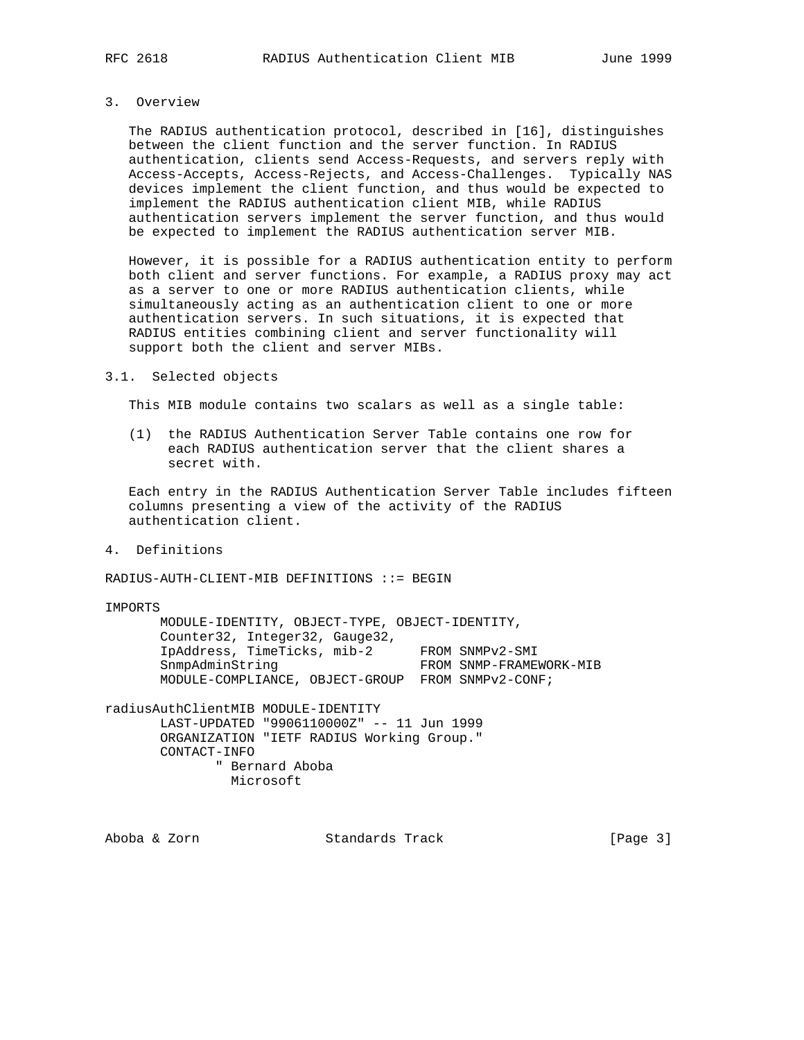# 3. Overview

 The RADIUS authentication protocol, described in [16], distinguishes between the client function and the server function. In RADIUS authentication, clients send Access-Requests, and servers reply with Access-Accepts, Access-Rejects, and Access-Challenges. Typically NAS devices implement the client function, and thus would be expected to implement the RADIUS authentication client MIB, while RADIUS authentication servers implement the server function, and thus would be expected to implement the RADIUS authentication server MIB.

 However, it is possible for a RADIUS authentication entity to perform both client and server functions. For example, a RADIUS proxy may act as a server to one or more RADIUS authentication clients, while simultaneously acting as an authentication client to one or more authentication servers. In such situations, it is expected that RADIUS entities combining client and server functionality will support both the client and server MIBs.

### 3.1. Selected objects

This MIB module contains two scalars as well as a single table:

 (1) the RADIUS Authentication Server Table contains one row for each RADIUS authentication server that the client shares a secret with.

 Each entry in the RADIUS Authentication Server Table includes fifteen columns presenting a view of the activity of the RADIUS authentication client.

4. Definitions

RADIUS-AUTH-CLIENT-MIB DEFINITIONS ::= BEGIN

IMPORTS

 MODULE-IDENTITY, OBJECT-TYPE, OBJECT-IDENTITY, Counter32, Integer32, Gauge32, IpAddress, TimeTicks, mib-2 FROM SNMPv2-SMI SnmpAdminString FROM SNMP-FRAMEWORK-MIB MODULE-COMPLIANCE, OBJECT-GROUP FROM SNMPv2-CONF;

radiusAuthClientMIB MODULE-IDENTITY LAST-UPDATED "9906110000Z" -- 11 Jun 1999 ORGANIZATION "IETF RADIUS Working Group." CONTACT-INFO " Bernard Aboba Microsoft

Aboba & Zorn Standards Track [Page 3]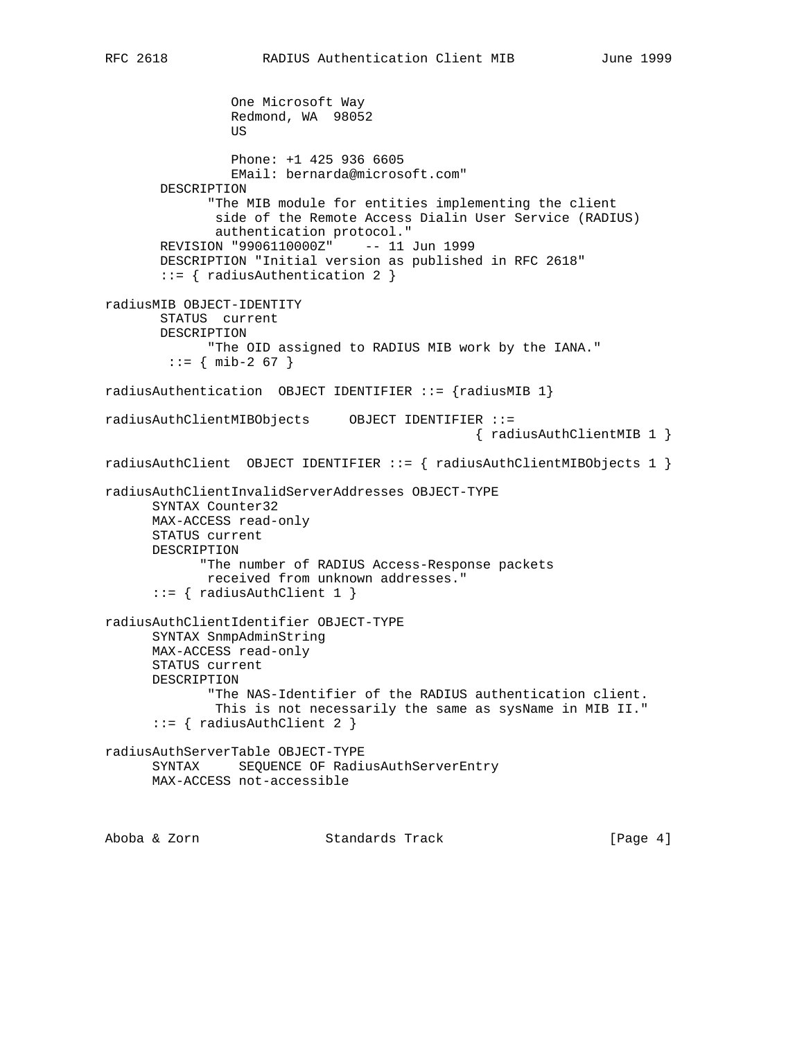```
 One Microsoft Way
                   Redmond, WA 98052
US and the state of the state of the state of the state of the state of the state of the state of the state of the state of the state of the state of the state of the state of the state of the state of the state of the s
                   Phone: +1 425 936 6605
                   EMail: bernarda@microsoft.com"
         DESCRIPTION
                "The MIB module for entities implementing the client
                 side of the Remote Access Dialin User Service (RADIUS)
                 authentication protocol."
         REVISION "9906110000Z" -- 11 Jun 1999
         DESCRIPTION "Initial version as published in RFC 2618"
         ::= { radiusAuthentication 2 }
radiusMIB OBJECT-IDENTITY
         STATUS current
         DESCRIPTION
               "The OID assigned to RADIUS MIB work by the IANA."
         ::= { mib-2 67 }
radiusAuthentication OBJECT IDENTIFIER ::= {radiusMIB 1}
radiusAuthClientMIBObjects OBJECT IDENTIFIER ::=
                                                        { radiusAuthClientMIB 1 }
radiusAuthClient OBJECT IDENTIFIER ::= { radiusAuthClientMIBObjects 1 }
radiusAuthClientInvalidServerAddresses OBJECT-TYPE
        SYNTAX Counter32
       MAX-ACCESS read-only
       STATUS current
       DESCRIPTION
               "The number of RADIUS Access-Response packets
               received from unknown addresses."
        ::= { radiusAuthClient 1 }
radiusAuthClientIdentifier OBJECT-TYPE
        SYNTAX SnmpAdminString
       MAX-ACCESS read-only
        STATUS current
       DESCRIPTION
                "The NAS-Identifier of the RADIUS authentication client.
                 This is not necessarily the same as sysName in MIB II."
       ::= { radiusAuthClient 2 }
radiusAuthServerTable OBJECT-TYPE
       SYNTAX SEQUENCE OF RadiusAuthServerEntry
       MAX-ACCESS not-accessible
```
Aboba & Zorn Standards Track [Page 4]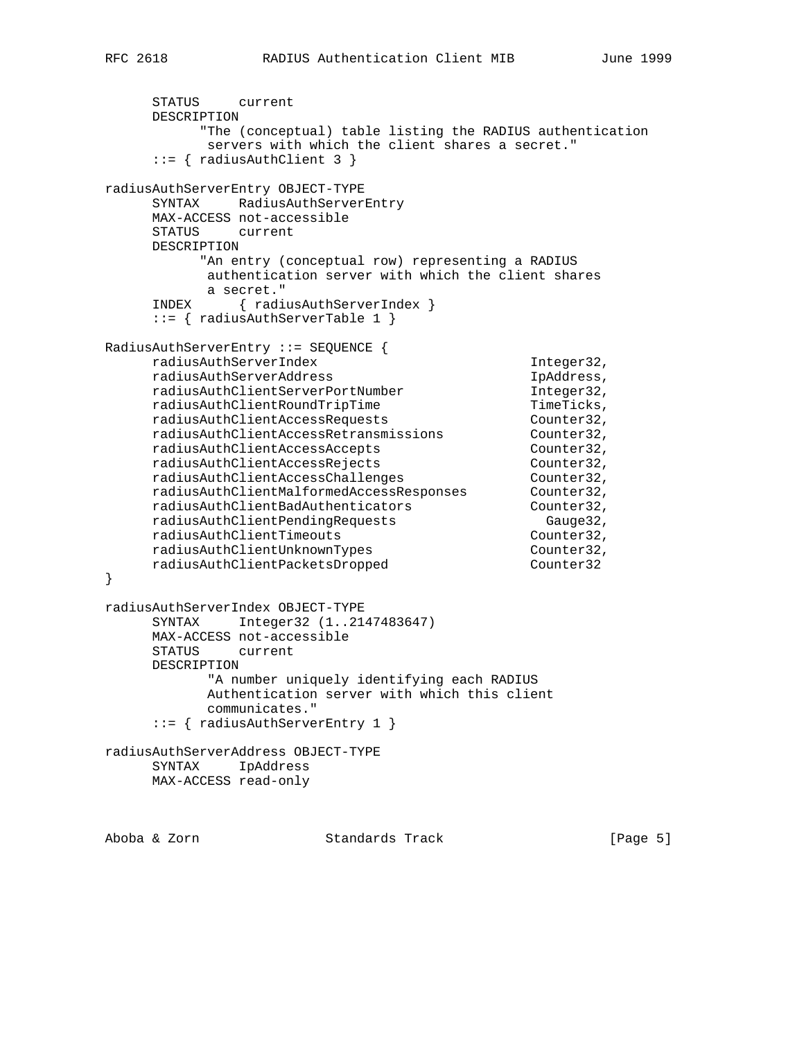```
 STATUS current
      DESCRIPTION
          "The (conceptual) table listing the RADIUS authentication
           servers with which the client shares a secret."
      ::= { radiusAuthClient 3 }
radiusAuthServerEntry OBJECT-TYPE
      SYNTAX RadiusAuthServerEntry
     MAX-ACCESS not-accessible
      STATUS current
     DESCRIPTION
          "An entry (conceptual row) representing a RADIUS
           authentication server with which the client shares
           a secret."
      INDEX { radiusAuthServerIndex }
      ::= { radiusAuthServerTable 1 }
RadiusAuthServerEntry ::= SEQUENCE {
     radiusAuthServerIndex Integer32,
 radiusAuthServerAddress IpAddress,
 radiusAuthClientServerPortNumber Integer32,
 radiusAuthClientRoundTripTime TimeTicks,
 radiusAuthClientAccessRequests Counter32,
 radiusAuthClientAccessRetransmissions Counter32,
 radiusAuthClientAccessAccepts Counter32,
 radiusAuthClientAccessRejects Counter32,
radiusAuthClientAccessChallenges counter32,
 radiusAuthClientMalformedAccessResponses Counter32,
 radiusAuthClientBadAuthenticators Counter32,
 radiusAuthClientPendingRequests Gauge32,
 radiusAuthClientTimeouts Counter32,
 radiusAuthClientUnknownTypes Counter32,
 radiusAuthClientPacketsDropped Counter32
}
radiusAuthServerIndex OBJECT-TYPE
     SYNTAX Integer32 (1..2147483647)
     MAX-ACCESS not-accessible
      STATUS current
     DESCRIPTION
           "A number uniquely identifying each RADIUS
           Authentication server with which this client
           communicates."
      ::= { radiusAuthServerEntry 1 }
radiusAuthServerAddress OBJECT-TYPE
     SYNTAX IpAddress
     MAX-ACCESS read-only
```
Aboba & Zorn Standards Track [Page 5]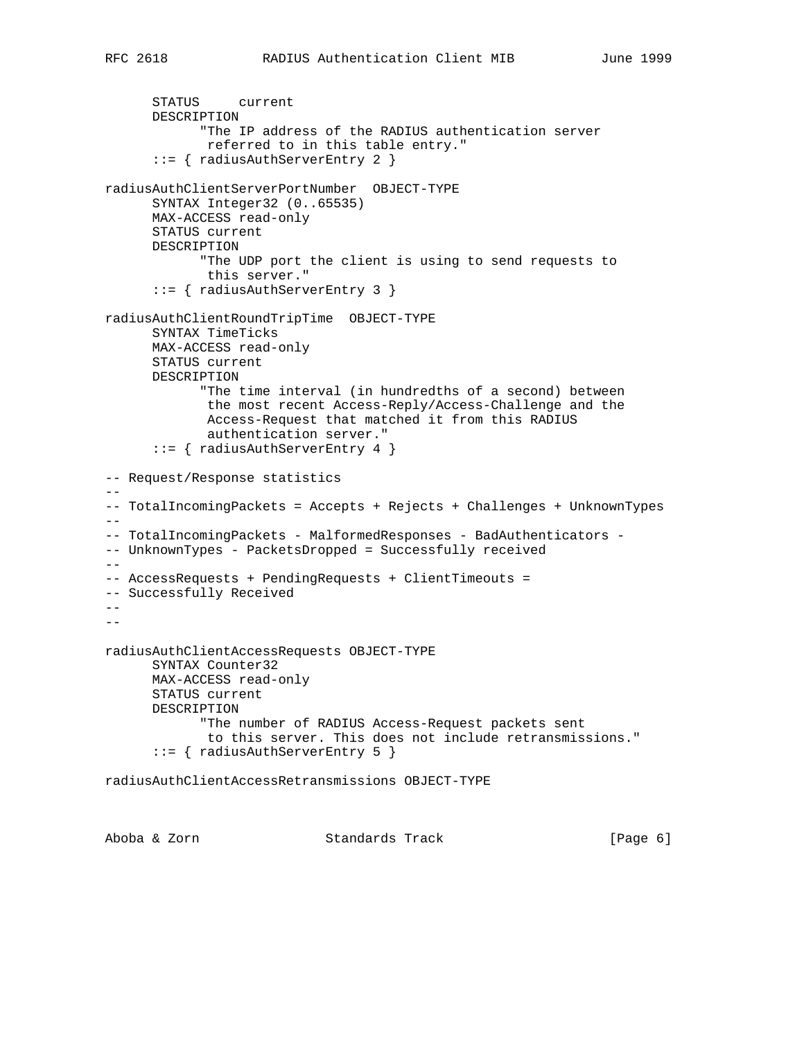```
 STATUS current
       DESCRIPTION
             "The IP address of the RADIUS authentication server
              referred to in this table entry."
       ::= { radiusAuthServerEntry 2 }
radiusAuthClientServerPortNumber OBJECT-TYPE
      SYNTAX Integer32 (0..65535)
      MAX-ACCESS read-only
       STATUS current
      DESCRIPTION
             "The UDP port the client is using to send requests to
             this server."
       ::= { radiusAuthServerEntry 3 }
radiusAuthClientRoundTripTime OBJECT-TYPE
      SYNTAX TimeTicks
      MAX-ACCESS read-only
      STATUS current
      DESCRIPTION
             "The time interval (in hundredths of a second) between
              the most recent Access-Reply/Access-Challenge and the
              Access-Request that matched it from this RADIUS
              authentication server."
       ::= { radiusAuthServerEntry 4 }
-- Request/Response statistics
--
-- TotalIncomingPackets = Accepts + Rejects + Challenges + UnknownTypes
--- TotalIncomingPackets - MalformedResponses - BadAuthenticators -
-- UnknownTypes - PacketsDropped = Successfully received
--- AccessRequests + PendingRequests + ClientTimeouts =
-- Successfully Received
-1--
radiusAuthClientAccessRequests OBJECT-TYPE
      SYNTAX Counter32
      MAX-ACCESS read-only
      STATUS current
      DESCRIPTION
             "The number of RADIUS Access-Request packets sent
              to this server. This does not include retransmissions."
       ::= { radiusAuthServerEntry 5 }
radiusAuthClientAccessRetransmissions OBJECT-TYPE
```
Aboba & Zorn Standards Track [Page 6]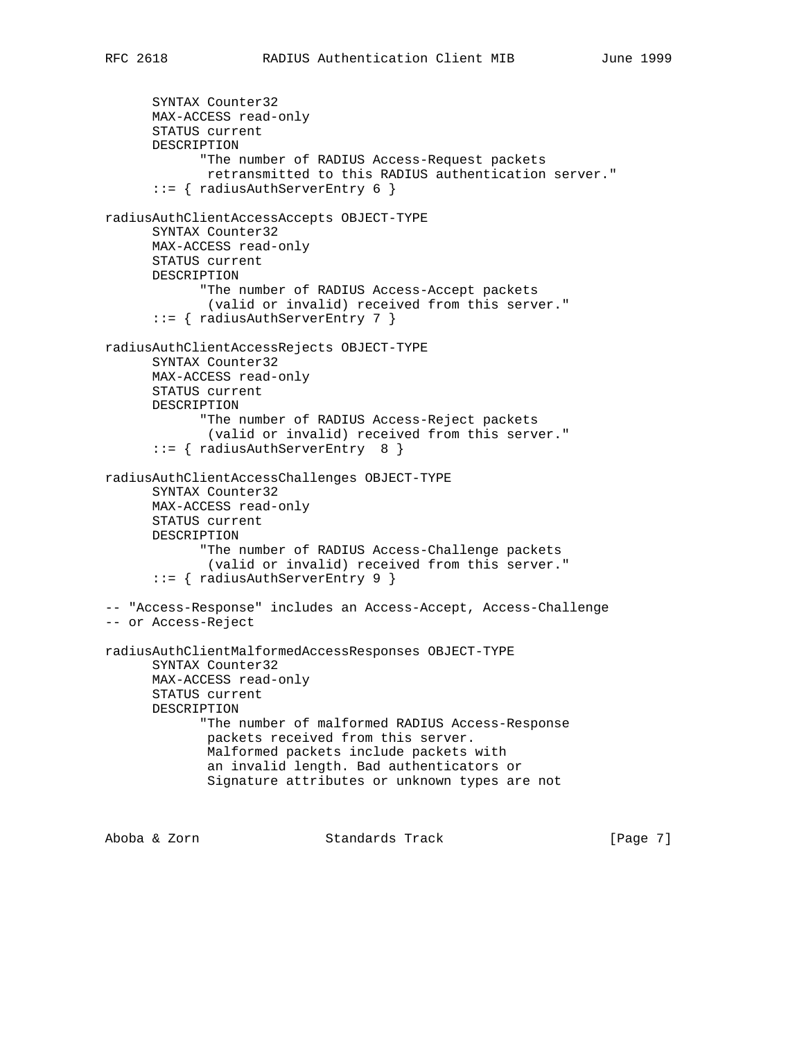```
 SYNTAX Counter32
       MAX-ACCESS read-only
       STATUS current
       DESCRIPTION
             "The number of RADIUS Access-Request packets
              retransmitted to this RADIUS authentication server."
       ::= { radiusAuthServerEntry 6 }
radiusAuthClientAccessAccepts OBJECT-TYPE
       SYNTAX Counter32
       MAX-ACCESS read-only
       STATUS current
       DESCRIPTION
             "The number of RADIUS Access-Accept packets
              (valid or invalid) received from this server."
       ::= { radiusAuthServerEntry 7 }
radiusAuthClientAccessRejects OBJECT-TYPE
       SYNTAX Counter32
       MAX-ACCESS read-only
       STATUS current
       DESCRIPTION
             "The number of RADIUS Access-Reject packets
              (valid or invalid) received from this server."
       ::= { radiusAuthServerEntry 8 }
radiusAuthClientAccessChallenges OBJECT-TYPE
       SYNTAX Counter32
       MAX-ACCESS read-only
       STATUS current
       DESCRIPTION
             "The number of RADIUS Access-Challenge packets
              (valid or invalid) received from this server."
       ::= { radiusAuthServerEntry 9 }
-- "Access-Response" includes an Access-Accept, Access-Challenge
-- or Access-Reject
radiusAuthClientMalformedAccessResponses OBJECT-TYPE
       SYNTAX Counter32
       MAX-ACCESS read-only
       STATUS current
       DESCRIPTION
             "The number of malformed RADIUS Access-Response
              packets received from this server.
              Malformed packets include packets with
              an invalid length. Bad authenticators or
              Signature attributes or unknown types are not
Aboba & Zorn                     Standards Track                     [Page 7]
```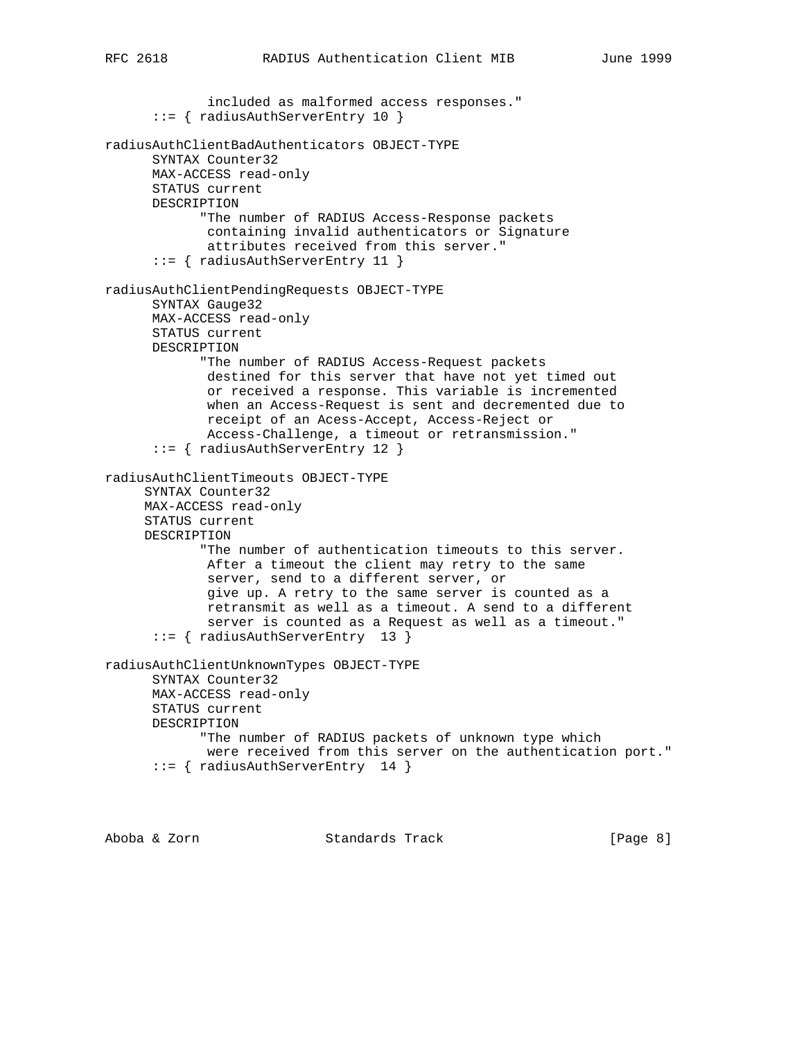included as malformed access responses." ::= { radiusAuthServerEntry 10 } radiusAuthClientBadAuthenticators OBJECT-TYPE SYNTAX Counter32 MAX-ACCESS read-only STATUS current DESCRIPTION "The number of RADIUS Access-Response packets containing invalid authenticators or Signature attributes received from this server." ::= { radiusAuthServerEntry 11 } radiusAuthClientPendingRequests OBJECT-TYPE SYNTAX Gauge32 MAX-ACCESS read-only STATUS current DESCRIPTION "The number of RADIUS Access-Request packets destined for this server that have not yet timed out or received a response. This variable is incremented when an Access-Request is sent and decremented due to receipt of an Acess-Accept, Access-Reject or Access-Challenge, a timeout or retransmission." ::= { radiusAuthServerEntry 12 } radiusAuthClientTimeouts OBJECT-TYPE SYNTAX Counter32 MAX-ACCESS read-only STATUS current DESCRIPTION "The number of authentication timeouts to this server. After a timeout the client may retry to the same server, send to a different server, or give up. A retry to the same server is counted as a retransmit as well as a timeout. A send to a different server is counted as a Request as well as a timeout." ::= { radiusAuthServerEntry 13 } radiusAuthClientUnknownTypes OBJECT-TYPE SYNTAX Counter32 MAX-ACCESS read-only STATUS current DESCRIPTION "The number of RADIUS packets of unknown type which were received from this server on the authentication port." ::= { radiusAuthServerEntry 14 }

Aboba & Zorn Standards Track [Page 8]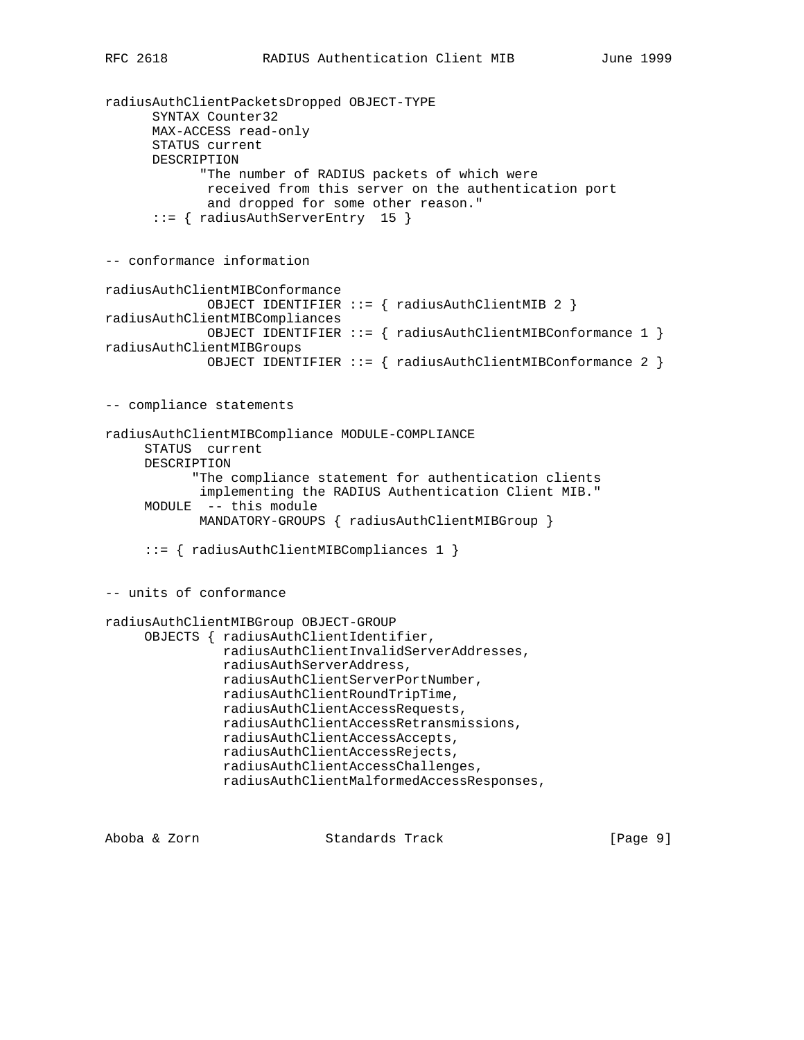```
radiusAuthClientPacketsDropped OBJECT-TYPE
       SYNTAX Counter32
       MAX-ACCESS read-only
       STATUS current
       DESCRIPTION
             "The number of RADIUS packets of which were
              received from this server on the authentication port
              and dropped for some other reason."
       ::= { radiusAuthServerEntry 15 }
-- conformance information
radiusAuthClientMIBConformance
              OBJECT IDENTIFIER ::= { radiusAuthClientMIB 2 }
radiusAuthClientMIBCompliances
              OBJECT IDENTIFIER ::= { radiusAuthClientMIBConformance 1 }
radiusAuthClientMIBGroups
              OBJECT IDENTIFIER ::= { radiusAuthClientMIBConformance 2 }
-- compliance statements
radiusAuthClientMIBCompliance MODULE-COMPLIANCE
      STATUS current
      DESCRIPTION
            "The compliance statement for authentication clients
             implementing the RADIUS Authentication Client MIB."
      MODULE -- this module
            MANDATORY-GROUPS { radiusAuthClientMIBGroup }
      ::= { radiusAuthClientMIBCompliances 1 }
-- units of conformance
radiusAuthClientMIBGroup OBJECT-GROUP
      OBJECTS { radiusAuthClientIdentifier,
                radiusAuthClientInvalidServerAddresses,
                radiusAuthServerAddress,
                radiusAuthClientServerPortNumber,
                radiusAuthClientRoundTripTime,
                radiusAuthClientAccessRequests,
                radiusAuthClientAccessRetransmissions,
                radiusAuthClientAccessAccepts,
                radiusAuthClientAccessRejects,
                radiusAuthClientAccessChallenges,
                radiusAuthClientMalformedAccessResponses,
```
Aboba & Zorn Standards Track [Page 9]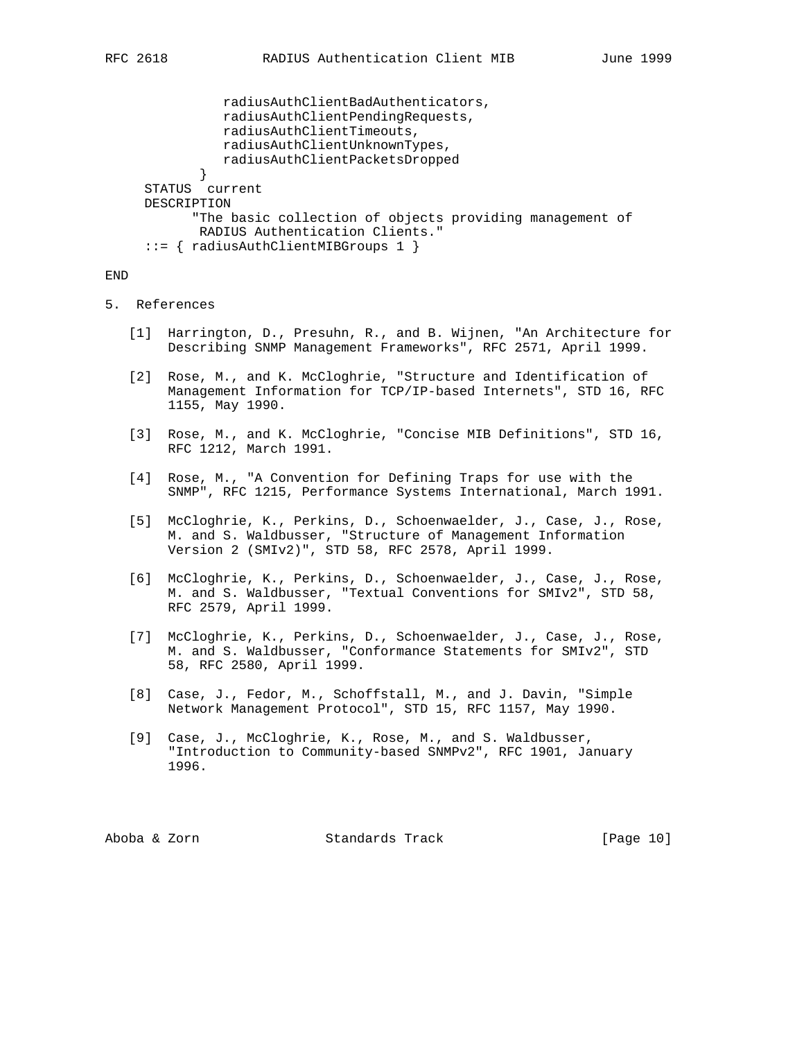```
 radiusAuthClientBadAuthenticators,
               radiusAuthClientPendingRequests,
               radiusAuthClientTimeouts,
               radiusAuthClientUnknownTypes,
               radiusAuthClientPacketsDropped
 }
     STATUS current
     DESCRIPTION
           "The basic collection of objects providing management of
            RADIUS Authentication Clients."
     ::= { radiusAuthClientMIBGroups 1 }
```
END

# 5. References

- [1] Harrington, D., Presuhn, R., and B. Wijnen, "An Architecture for Describing SNMP Management Frameworks", RFC 2571, April 1999.
- [2] Rose, M., and K. McCloghrie, "Structure and Identification of Management Information for TCP/IP-based Internets", STD 16, RFC 1155, May 1990.
- [3] Rose, M., and K. McCloghrie, "Concise MIB Definitions", STD 16, RFC 1212, March 1991.
- [4] Rose, M., "A Convention for Defining Traps for use with the SNMP", RFC 1215, Performance Systems International, March 1991.
- [5] McCloghrie, K., Perkins, D., Schoenwaelder, J., Case, J., Rose, M. and S. Waldbusser, "Structure of Management Information Version 2 (SMIv2)", STD 58, RFC 2578, April 1999.
- [6] McCloghrie, K., Perkins, D., Schoenwaelder, J., Case, J., Rose, M. and S. Waldbusser, "Textual Conventions for SMIv2", STD 58, RFC 2579, April 1999.
- [7] McCloghrie, K., Perkins, D., Schoenwaelder, J., Case, J., Rose, M. and S. Waldbusser, "Conformance Statements for SMIv2", STD 58, RFC 2580, April 1999.
- [8] Case, J., Fedor, M., Schoffstall, M., and J. Davin, "Simple Network Management Protocol", STD 15, RFC 1157, May 1990.
- [9] Case, J., McCloghrie, K., Rose, M., and S. Waldbusser, "Introduction to Community-based SNMPv2", RFC 1901, January 1996.

Aboba & Zorn Standards Track [Page 10]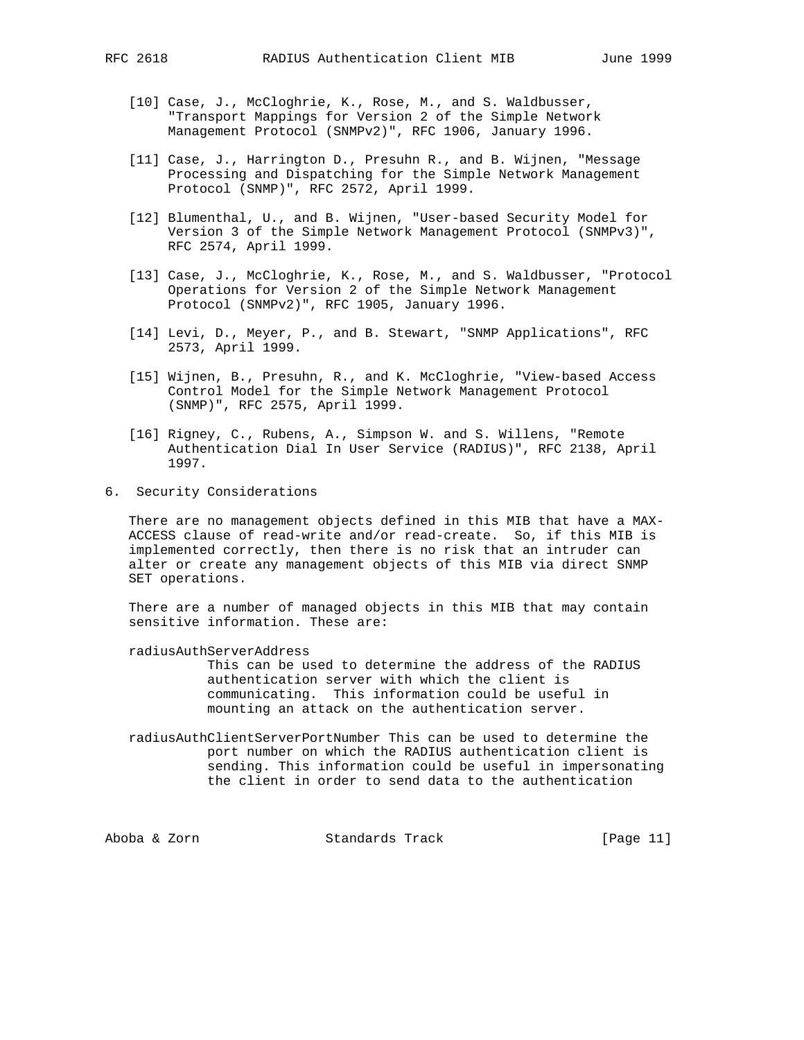- - [10] Case, J., McCloghrie, K., Rose, M., and S. Waldbusser, "Transport Mappings for Version 2 of the Simple Network Management Protocol (SNMPv2)", RFC 1906, January 1996.
	- [11] Case, J., Harrington D., Presuhn R., and B. Wijnen, "Message Processing and Dispatching for the Simple Network Management Protocol (SNMP)", RFC 2572, April 1999.
	- [12] Blumenthal, U., and B. Wijnen, "User-based Security Model for Version 3 of the Simple Network Management Protocol (SNMPv3)", RFC 2574, April 1999.
	- [13] Case, J., McCloghrie, K., Rose, M., and S. Waldbusser, "Protocol Operations for Version 2 of the Simple Network Management Protocol (SNMPv2)", RFC 1905, January 1996.
	- [14] Levi, D., Meyer, P., and B. Stewart, "SNMP Applications", RFC 2573, April 1999.
	- [15] Wijnen, B., Presuhn, R., and K. McCloghrie, "View-based Access Control Model for the Simple Network Management Protocol (SNMP)", RFC 2575, April 1999.
	- [16] Rigney, C., Rubens, A., Simpson W. and S. Willens, "Remote Authentication Dial In User Service (RADIUS)", RFC 2138, April 1997.
- 6. Security Considerations

 There are no management objects defined in this MIB that have a MAX- ACCESS clause of read-write and/or read-create. So, if this MIB is implemented correctly, then there is no risk that an intruder can alter or create any management objects of this MIB via direct SNMP SET operations.

 There are a number of managed objects in this MIB that may contain sensitive information. These are:

radiusAuthServerAddress

 This can be used to determine the address of the RADIUS authentication server with which the client is communicating. This information could be useful in mounting an attack on the authentication server.

 radiusAuthClientServerPortNumber This can be used to determine the port number on which the RADIUS authentication client is sending. This information could be useful in impersonating the client in order to send data to the authentication

Aboba & Zorn Standards Track [Page 11]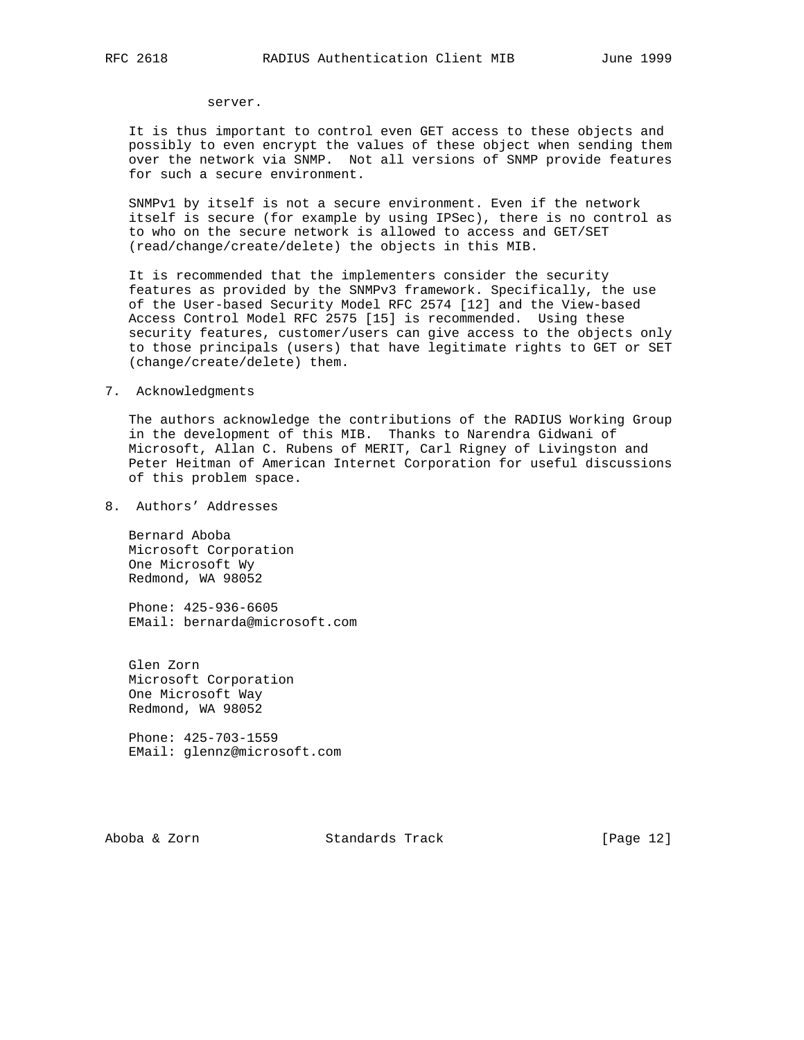#### server.

 It is thus important to control even GET access to these objects and possibly to even encrypt the values of these object when sending them over the network via SNMP. Not all versions of SNMP provide features for such a secure environment.

 SNMPv1 by itself is not a secure environment. Even if the network itself is secure (for example by using IPSec), there is no control as to who on the secure network is allowed to access and GET/SET (read/change/create/delete) the objects in this MIB.

 It is recommended that the implementers consider the security features as provided by the SNMPv3 framework. Specifically, the use of the User-based Security Model RFC 2574 [12] and the View-based Access Control Model RFC 2575 [15] is recommended. Using these security features, customer/users can give access to the objects only to those principals (users) that have legitimate rights to GET or SET (change/create/delete) them.

#### 7. Acknowledgments

 The authors acknowledge the contributions of the RADIUS Working Group in the development of this MIB. Thanks to Narendra Gidwani of Microsoft, Allan C. Rubens of MERIT, Carl Rigney of Livingston and Peter Heitman of American Internet Corporation for useful discussions of this problem space.

8. Authors' Addresses

 Bernard Aboba Microsoft Corporation One Microsoft Wy Redmond, WA 98052

 Phone: 425-936-6605 EMail: bernarda@microsoft.com

 Glen Zorn Microsoft Corporation One Microsoft Way Redmond, WA 98052

 Phone: 425-703-1559 EMail: glennz@microsoft.com

Aboba & Zorn Standards Track [Page 12]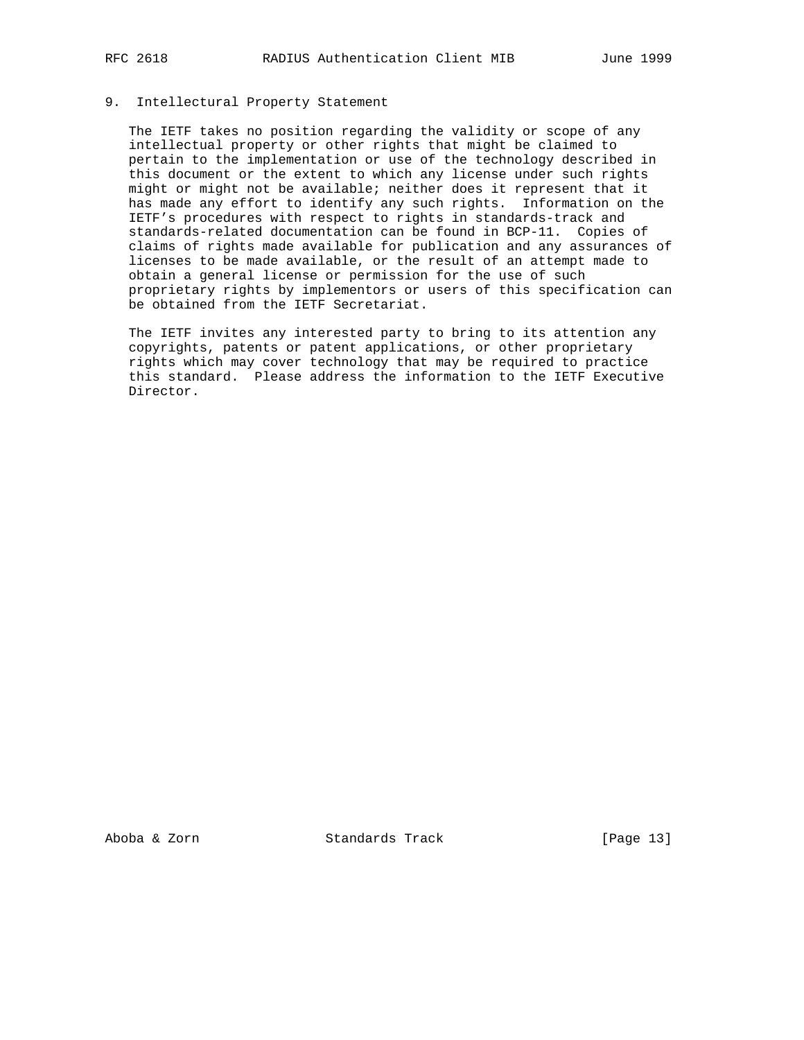# 9. Intellectural Property Statement

 The IETF takes no position regarding the validity or scope of any intellectual property or other rights that might be claimed to pertain to the implementation or use of the technology described in this document or the extent to which any license under such rights might or might not be available; neither does it represent that it has made any effort to identify any such rights. Information on the IETF's procedures with respect to rights in standards-track and standards-related documentation can be found in BCP-11. Copies of claims of rights made available for publication and any assurances of licenses to be made available, or the result of an attempt made to obtain a general license or permission for the use of such proprietary rights by implementors or users of this specification can be obtained from the IETF Secretariat.

 The IETF invites any interested party to bring to its attention any copyrights, patents or patent applications, or other proprietary rights which may cover technology that may be required to practice this standard. Please address the information to the IETF Executive Director.

Aboba & Zorn Standards Track [Page 13]